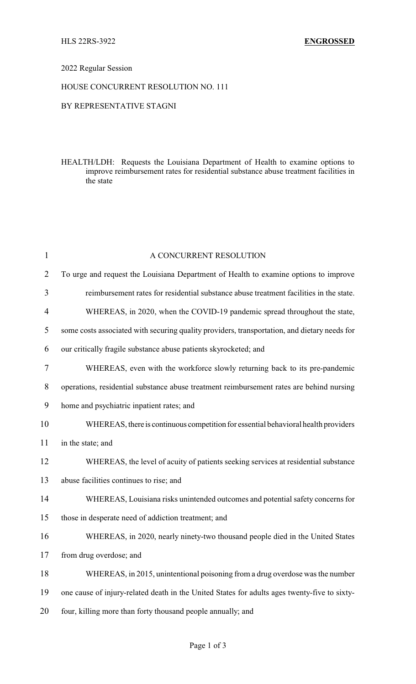### 2022 Regular Session

### HOUSE CONCURRENT RESOLUTION NO. 111

## BY REPRESENTATIVE STAGNI

HEALTH/LDH: Requests the Louisiana Department of Health to examine options to improve reimbursement rates for residential substance abuse treatment facilities in the state

| $\mathbf{1}$   | A CONCURRENT RESOLUTION                                                                      |  |  |
|----------------|----------------------------------------------------------------------------------------------|--|--|
| $\overline{2}$ | To urge and request the Louisiana Department of Health to examine options to improve         |  |  |
| 3              | reimbursement rates for residential substance abuse treatment facilities in the state.       |  |  |
| 4              | WHEREAS, in 2020, when the COVID-19 pandemic spread throughout the state,                    |  |  |
| 5              | some costs associated with securing quality providers, transportation, and dietary needs for |  |  |
| 6              | our critically fragile substance abuse patients skyrocketed; and                             |  |  |
| $\tau$         | WHEREAS, even with the workforce slowly returning back to its pre-pandemic                   |  |  |
| 8              | operations, residential substance abuse treatment reimbursement rates are behind nursing     |  |  |
| 9              | home and psychiatric inpatient rates; and                                                    |  |  |
| 10             | WHEREAS, there is continuous competition for essential behavioral health providers           |  |  |
| 11             | in the state; and                                                                            |  |  |
| 12             | WHEREAS, the level of acuity of patients seeking services at residential substance           |  |  |
| 13             | abuse facilities continues to rise; and                                                      |  |  |
| 14             | WHEREAS, Louisiana risks unintended outcomes and potential safety concerns for               |  |  |
| 15             | those in desperate need of addiction treatment; and                                          |  |  |
| 16             | WHEREAS, in 2020, nearly ninety-two thousand people died in the United States                |  |  |
| 17             | from drug overdose; and                                                                      |  |  |
| 18             | WHEREAS, in 2015, unintentional poisoning from a drug overdose was the number                |  |  |
| 19             | one cause of injury-related death in the United States for adults ages twenty-five to sixty- |  |  |
| 20             | four, killing more than forty thousand people annually; and                                  |  |  |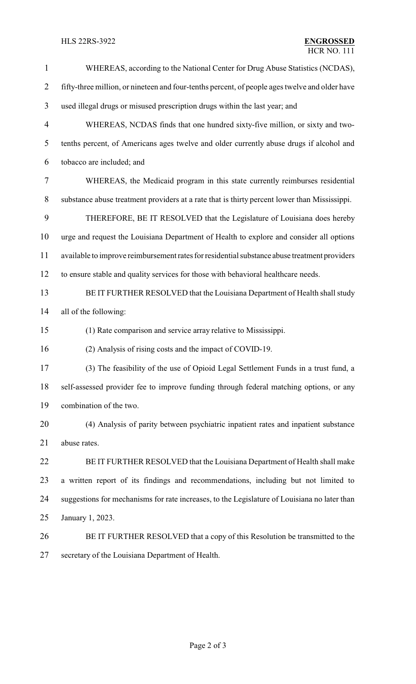# **HLS 22RS-3922**

| $\mathbf{1}$   | WHEREAS, according to the National Center for Drug Abuse Statistics (NCDAS),                   |  |  |
|----------------|------------------------------------------------------------------------------------------------|--|--|
| $\overline{2}$ | fifty-three million, or nineteen and four-tenths percent, of people ages twelve and older have |  |  |
| 3              | used illegal drugs or misused prescription drugs within the last year; and                     |  |  |
| 4              | WHEREAS, NCDAS finds that one hundred sixty-five million, or sixty and two-                    |  |  |
| 5              | tenths percent, of Americans ages twelve and older currently abuse drugs if alcohol and        |  |  |
| 6              | tobacco are included; and                                                                      |  |  |
| $\tau$         | WHEREAS, the Medicaid program in this state currently reimburses residential                   |  |  |
| $8\,$          | substance abuse treatment providers at a rate that is thirty percent lower than Mississippi.   |  |  |
| 9              | THEREFORE, BE IT RESOLVED that the Legislature of Louisiana does hereby                        |  |  |
| 10             | urge and request the Louisiana Department of Health to explore and consider all options        |  |  |
| 11             | available to improve reimbursement rates for residential substance abuse treatment providers   |  |  |
| 12             | to ensure stable and quality services for those with behavioral healthcare needs.              |  |  |
| 13             | BE IT FURTHER RESOLVED that the Louisiana Department of Health shall study                     |  |  |
| 14             | all of the following:                                                                          |  |  |
| 15             | (1) Rate comparison and service array relative to Mississippi.                                 |  |  |
| 16             | (2) Analysis of rising costs and the impact of COVID-19.                                       |  |  |
| 17             | (3) The feasibility of the use of Opioid Legal Settlement Funds in a trust fund, a             |  |  |
| 18             | self-assessed provider fee to improve funding through federal matching options, or any         |  |  |
| 19             | combination of the two.                                                                        |  |  |
| 20             | (4) Analysis of parity between psychiatric inpatient rates and inpatient substance             |  |  |
| 21             | abuse rates.                                                                                   |  |  |
| 22             | BE IT FURTHER RESOLVED that the Louisiana Department of Health shall make                      |  |  |
| 23             | a written report of its findings and recommendations, including but not limited to             |  |  |
| 24             | suggestions for mechanisms for rate increases, to the Legislature of Louisiana no later than   |  |  |
| 25             | January 1, 2023.                                                                               |  |  |
| 26             | BE IT FURTHER RESOLVED that a copy of this Resolution be transmitted to the                    |  |  |
| 27             | secretary of the Louisiana Department of Health.                                               |  |  |